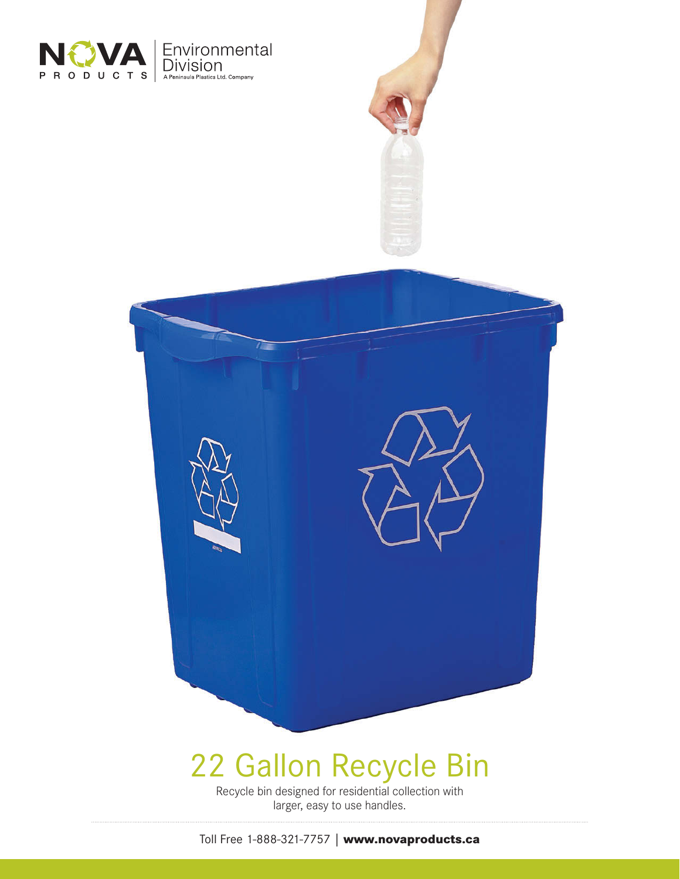



## 22 Gallon Recycle Bin

Recycle bin designed for residential collection with larger, easy to use handles.

Toll Free 1-888-321-7757 | **www.novaproducts.ca**